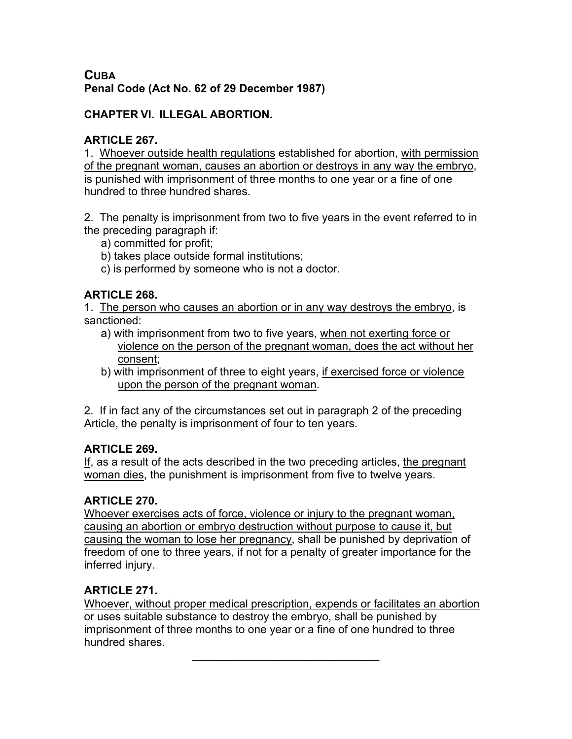# **CUBA Penal Code (Act No. 62 of 29 December 1987)**

#### **CHAPTER VI. ILLEGAL ABORTION.**

#### **ARTICLE 267.**

1. Whoever outside health regulations established for abortion, with permission of the pregnant woman, causes an abortion or destroys in any way the embryo, is punished with imprisonment of three months to one year or a fine of one hundred to three hundred shares.

2. The penalty is imprisonment from two to five years in the event referred to in the preceding paragraph if:

- a) committed for profit;
- b) takes place outside formal institutions;

c) is performed by someone who is not a doctor.

# **ARTICLE 268.**

1. The person who causes an abortion or in any way destroys the embryo, is sanctioned:

- a) with imprisonment from two to five years, when not exerting force or violence on the person of the pregnant woman, does the act without her consent;
- b) with imprisonment of three to eight years, if exercised force or violence upon the person of the pregnant woman.

2. If in fact any of the circumstances set out in paragraph 2 of the preceding Article, the penalty is imprisonment of four to ten years.

# **ARTICLE 269.**

If, as a result of the acts described in the two preceding articles, the pregnant woman dies, the punishment is imprisonment from five to twelve years.

# **ARTICLE 270.**

Whoever exercises acts of force, violence or injury to the pregnant woman, causing an abortion or embryo destruction without purpose to cause it, but causing the woman to lose her pregnancy, shall be punished by deprivation of freedom of one to three years, if not for a penalty of greater importance for the inferred injury.

# **ARTICLE 271.**

Whoever, without proper medical prescription, expends or facilitates an abortion or uses suitable substance to destroy the embryo, shall be punished by imprisonment of three months to one year or a fine of one hundred to three hundred shares.

 $\mathcal{L}_\text{max}$  and  $\mathcal{L}_\text{max}$  and  $\mathcal{L}_\text{max}$  and  $\mathcal{L}_\text{max}$